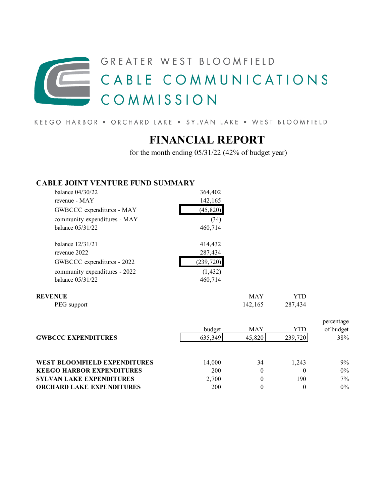## GREATER WEST BLOOMFIELD CABLE COMMUNICATIONS COMMISSION

KEEGO HARBOR . ORCHARD LAKE . SYLVAN LAKE . WEST BLOOMFIELD

## **FINANCIAL REPORT**

for the month ending 05/31/22 (42% of budget year)

## **CABLE JOINT VENTURE FUND SUMMARY**

| balance $04/30/22$            | 364,402    |            |     |
|-------------------------------|------------|------------|-----|
| revenue - MAY                 | 142,165    |            |     |
| GWBCCC expenditures - MAY     | (45, 820)  |            |     |
| community expenditures - MAY  | (34)       |            |     |
| balance 05/31/22              | 460,714    |            |     |
| balance 12/31/21              | 414,432    |            |     |
| revenue 2022                  | 287,434    |            |     |
| GWBCCC expenditures - 2022    | (239, 720) |            |     |
| community expenditures - 2022 | (1, 432)   |            |     |
| balance 05/31/22              | 460,714    |            |     |
| <b>REVENUE</b>                |            | <b>MAY</b> | YTD |

PEG support 142,165 287,434

|                                  | percentage |          |         |           |
|----------------------------------|------------|----------|---------|-----------|
|                                  | budget     | MAY      | YTD     | of budget |
| <b>GWBCCC EXPENDITURES</b>       | 635,349    | 45,820   | 239,720 | 38%       |
|                                  |            |          |         |           |
| WEST BLOOMFIELD EXPENDITURES     | 14,000     | 34       | 1.243   | 9%        |
| <b>KEEGO HARBOR EXPENDITURES</b> | 200        | $\theta$ |         | $0\%$     |
| <b>SYLVAN LAKE EXPENDITURES</b>  | 2,700      | 0        | 190     | $7\%$     |
| <b>ORCHARD LAKE EXPENDITURES</b> | 200        |          |         | $0\%$     |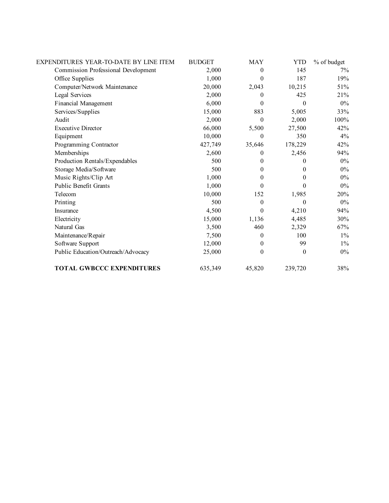| EXPENDITURES YEAR-TO-DATE BY LINE ITEM     | <b>BUDGET</b> | <b>MAY</b>       | <b>YTD</b> | % of budget |
|--------------------------------------------|---------------|------------------|------------|-------------|
| <b>Commission Professional Development</b> | 2,000         | $\theta$         | 145        | 7%          |
| Office Supplies                            | 1,000         | $\theta$         | 187        | 19%         |
| Computer/Network Maintenance               | 20,000        | 2,043            | 10,215     | 51%         |
| Legal Services                             | 2,000         | 0                | 425        | 21%         |
| Financial Management                       | 6,000         | $\Omega$         | $\Omega$   | $0\%$       |
| Services/Supplies                          | 15,000        | 883              | 5,005      | 33%         |
| Audit                                      | 2,000         | $\Omega$         | 2,000      | 100%        |
| <b>Executive Director</b>                  | 66,000        | 5,500            | 27,500     | 42%         |
| Equipment                                  | 10,000        | $\Omega$         | 350        | 4%          |
| Programming Contractor                     | 427,749       | 35,646           | 178,229    | 42%         |
| Memberships                                | 2,600         | $\Omega$         | 2,456      | 94%         |
| Production Rentals/Expendables             | 500           | $\theta$         | 0          | $0\%$       |
| Storage Media/Software                     | 500           | 0                | 0          | $0\%$       |
| Music Rights/Clip Art                      | 1,000         | 0                | $\theta$   | $0\%$       |
| Public Benefit Grants                      | 1,000         | 0                | 0          | $0\%$       |
| Telecom                                    | 10,000        | 152              | 1,985      | 20%         |
| Printing                                   | 500           | $\Omega$         | 0          | $0\%$       |
| Insurance                                  | 4,500         | $\theta$         | 4,210      | 94%         |
| Electricity                                | 15,000        | 1,136            | 4,485      | 30%         |
| Natural Gas                                | 3,500         | 460              | 2,329      | 67%         |
| Maintenance/Repair                         | 7,500         | $\Omega$         | 100        | $1\%$       |
| Software Support                           | 12,000        | $\theta$         | 99         | $1\%$       |
| Public Education/Outreach/Advocacy         | 25,000        | $\boldsymbol{0}$ | $\theta$   | $0\%$       |
| <b>TOTAL GWBCCC EXPENDITURES</b>           | 635,349       | 45,820           | 239,720    | 38%         |